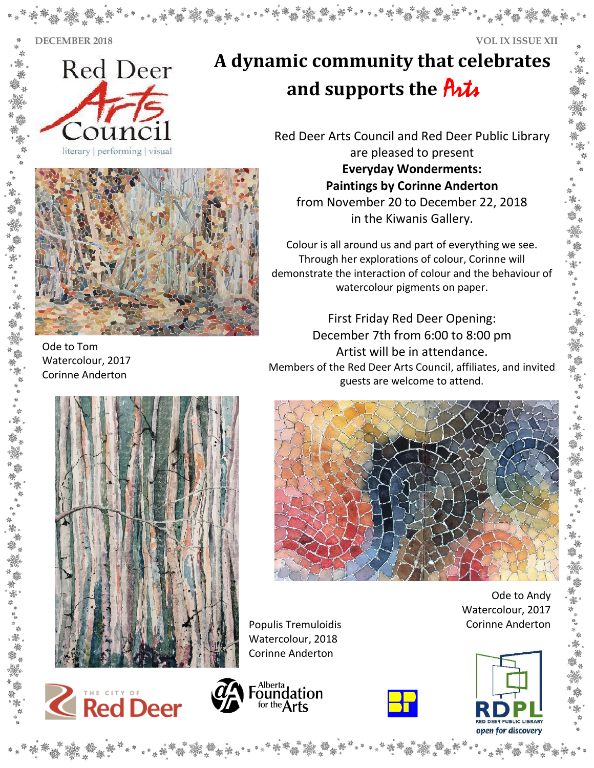**DECEMBER 2018 VOL IX ISSUE XII**



**A dynamic community that celebrates and supports the** Arts

> Red Deer Arts Council and Red Deer Public Library are pleased to present **Everyday Wonderments:**



Ode to Tom Watercolour, 2017 Corinne Anderton

 in the Kiwanis Gallery. **Paintings by Corinne Anderton** from November 20 to December 22, 2018

Colour is all around us and part of everything we see. Through her explorations of colour, Corinne will demonstrate the interaction of colour and the behaviour of watercolour pigments on paper.

First Friday Red Deer Opening: December 7th from 6:00 to 8:00 pm Artist will be in attendance. Members of the Red Deer Arts Council, affiliates, and invited guests are welcome to attend.





Populis Tremuloidis **Communists** Corinne Anderton Watercolour, 2018 Corinne Anderton







Ode to Andy Watercolour, 2017

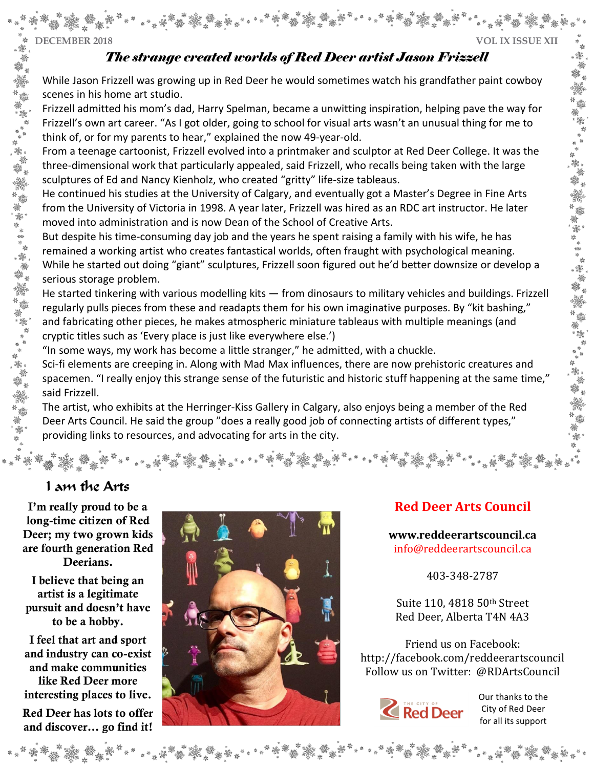## **DECEMBER 2018 VOL IX ISSUE XII**

安幸母

"要",

"是一个人的事,你就是一个人的人生了。"

瀤

鎏.

## *The strange created worlds of Red Deer artist Jason Frizzell*

While Jason Frizzell was growing up in Red Deer he would sometimes watch his grandfather paint cowboy scenes in his home art studio.

Frizzell admitted his mom's dad, Harry Spelman, became a unwitting inspiration, helping pave the way for Frizzell's own art career. "As I got older, going to school for visual arts wasn't an unusual thing for me to think of, or for my parents to hear," explained the now 49-year-old.

From a teenage cartoonist, Frizzell evolved into a printmaker and sculptor at Red Deer College. It was the three-dimensional work that particularly appealed, said Frizzell, who recalls being taken with the large sculptures of Ed and Nancy Kienholz, who created "gritty" life-size tableaus.

He continued his studies at the University of Calgary, and eventually got a Master's Degree in Fine Arts from the University of Victoria in 1998. A year later, Frizzell was hired as an RDC art instructor. He later moved into administration and is now Dean of the School of Creative Arts.

But despite his time-consuming day job and the years he spent raising a family with his wife, he has remained a working artist who creates fantastical worlds, often fraught with psychological meaning. While he started out doing "giant" sculptures, Frizzell soon figured out he'd better downsize or develop a serious storage problem.

He started tinkering with various modelling kits — from dinosaurs to military vehicles and buildings. Frizzell regularly pulls pieces from these and readapts them for his own imaginative purposes. By "kit bashing," and fabricating other pieces, he makes atmospheric miniature tableaus with multiple meanings (and cryptic titles such as 'Every place is just like everywhere else.')

"In some ways, my work has become a little stranger," he admitted, with a chuckle.

Sci-fi elements are creeping in. Along with Mad Max influences, there are now prehistoric creatures and spacemen. "I really enjoy this strange sense of the futuristic and historic stuff happening at the same time," said Frizzell.

The artist, who exhibits at the Herringer-Kiss Gallery in Calgary, also enjoys being a member of the Red Deer Arts Council. He said the group "does a really good job of connecting artists of different types," providing links to resources, and advocating for arts in the city.

# I am the Arts

I'm really proud to be a long-time citizen of Red Deer; my two grown kids are fourth generation Red Deerians.

I believe that being an artist is a legitimate pursuit and doesn't have to be a hobby.

I feel that art and sport and industry can co-exist and make communities like Red Deer more interesting places to live. Red Deer has lots to offer and discover… go find it!



# **Red Deer Arts Council**

**[www.reddeerartscouncil.ca](http://www.reddeerartscouncil.ca/)** info@reddeerartscouncil.ca

403-348-2787

Suite 110, 4818 50th Street Red Deer, Alberta T4N 4A3

Friend us on Facebook: <http://facebook.com/reddeerartscouncil> Follow us on Twitter: @RDArtsCouncil



Our thanks to the City of Red Deer for all its support